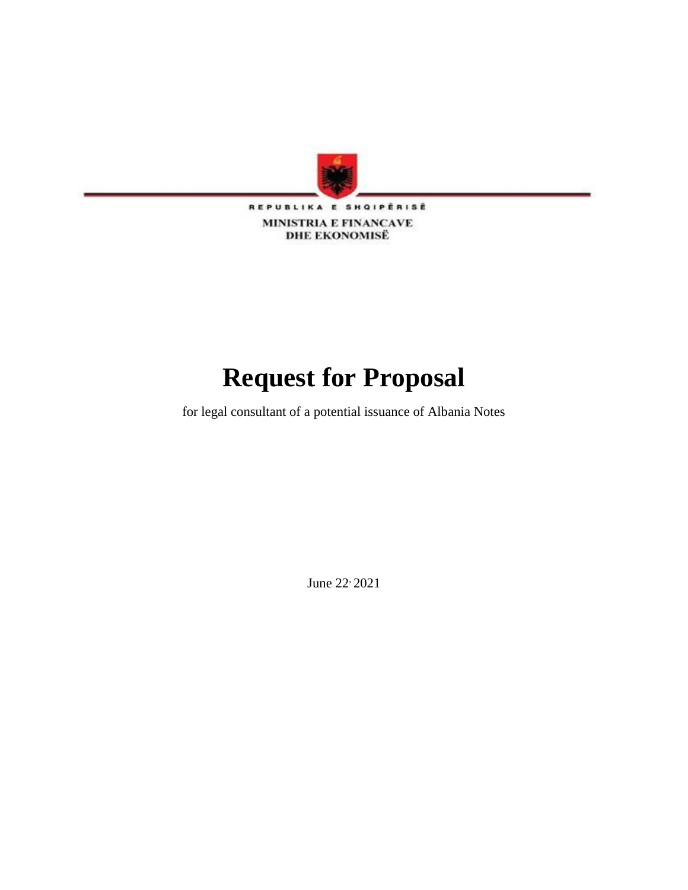

REPUBLIKA E SHQIPËRISË MINISTRIA E FINANCAVE **DHE EKONOMISË** 

# **Request for Proposal**

for legal consultant of a potential issuance of Albania Notes

June 22, 2021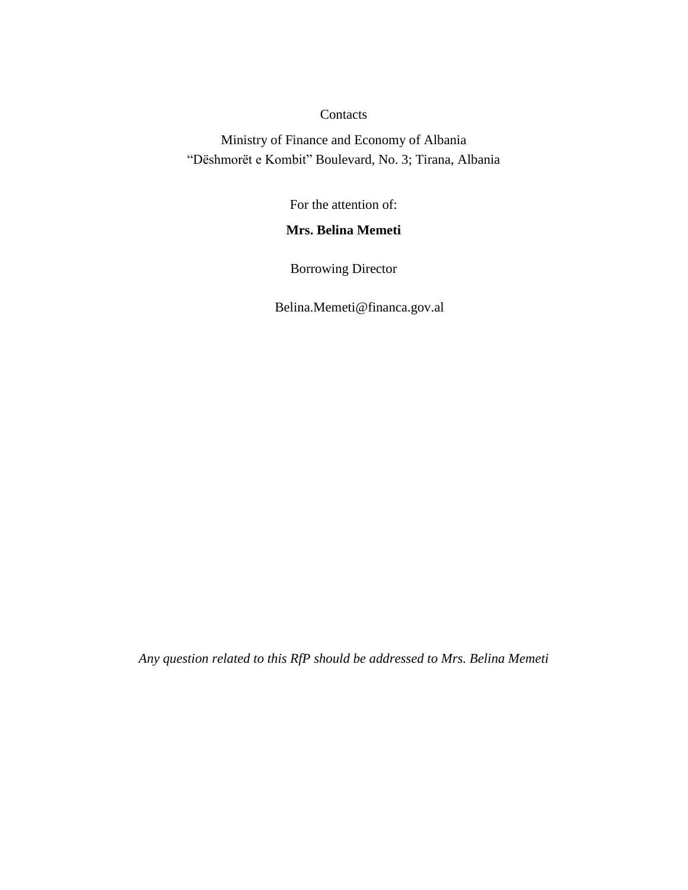#### **Contacts**

Ministry of Finance and Economy of Albania "Dëshmorët e Kombit" Boulevard, No. 3; Tirana, Albania

For the attention of:

# **Mrs. Belina Memeti**

Borrowing Director

Belina.Memeti@financa.gov.al

*Any question related to this RfP should be addressed to Mrs. Belina Memeti*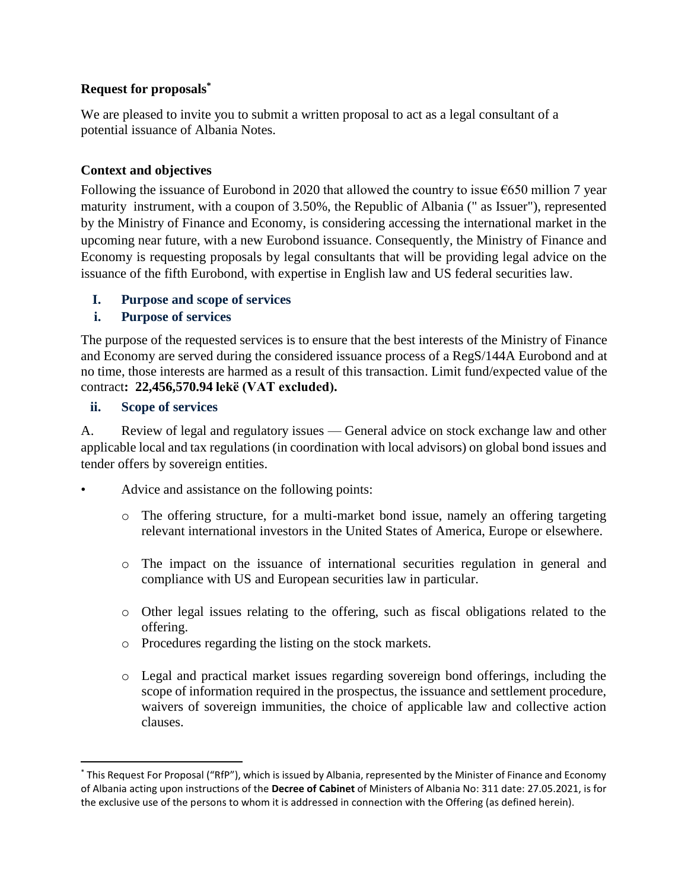## **Request for proposals\***

We are pleased to invite you to submit a written proposal to act as a legal consultant of a potential issuance of Albania Notes.

# **Context and objectives**

Following the issuance of Eurobond in 2020 that allowed the country to issue  $\epsilon$ 650 million 7 year maturity instrument, with a coupon of 3.50%, the Republic of Albania (" as Issuer"), represented by the Ministry of Finance and Economy, is considering accessing the international market in the upcoming near future, with a new Eurobond issuance. Consequently, the Ministry of Finance and Economy is requesting proposals by legal consultants that will be providing legal advice on the issuance of the fifth Eurobond, with expertise in English law and US federal securities law.

# **I. Purpose and scope of services**

# **i. Purpose of services**

The purpose of the requested services is to ensure that the best interests of the Ministry of Finance and Economy are served during the considered issuance process of a RegS/144A Eurobond and at no time, those interests are harmed as a result of this transaction. Limit fund/expected value of the contract**: 22,456,570.94 lekë (VAT excluded).**

#### **ii. Scope of services**

 $\overline{\phantom{a}}$ 

A. Review of legal and regulatory issues — General advice on stock exchange law and other applicable local and tax regulations (in coordination with local advisors) on global bond issues and tender offers by sovereign entities.

- Advice and assistance on the following points:
	- o The offering structure, for a multi-market bond issue, namely an offering targeting relevant international investors in the United States of America, Europe or elsewhere.
	- o The impact on the issuance of international securities regulation in general and compliance with US and European securities law in particular.
	- o Other legal issues relating to the offering, such as fiscal obligations related to the offering.
	- o Procedures regarding the listing on the stock markets.
	- o Legal and practical market issues regarding sovereign bond offerings, including the scope of information required in the prospectus, the issuance and settlement procedure, waivers of sovereign immunities, the choice of applicable law and collective action clauses.

<sup>\*</sup> This Request For Proposal ("RfP"), which is issued by Albania, represented by the Minister of Finance and Economy of Albania acting upon instructions of the **Decree of Cabinet** of Ministers of Albania No: 311 date: 27.05.2021, is for the exclusive use of the persons to whom it is addressed in connection with the Offering (as defined herein).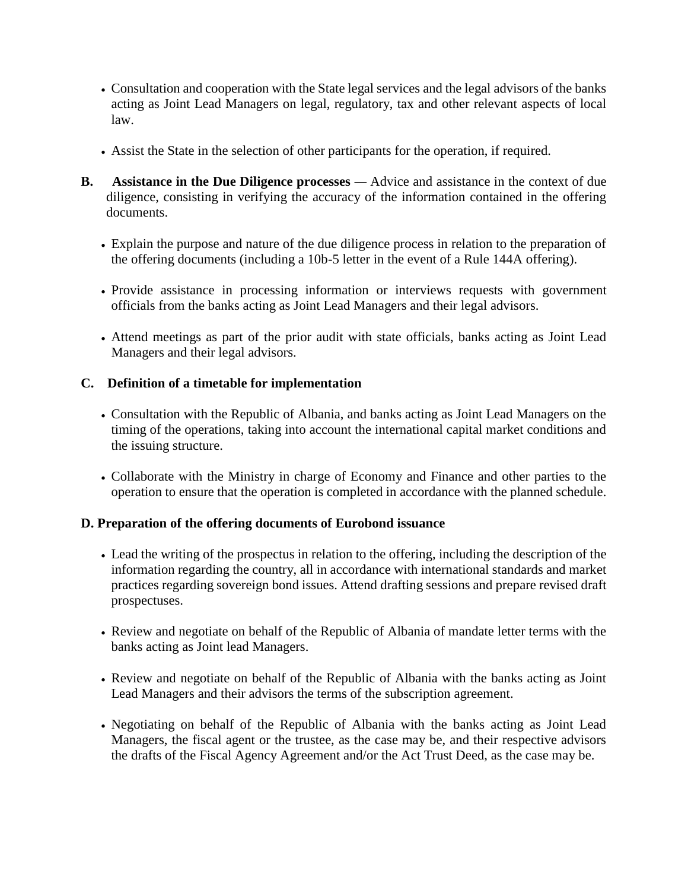- Consultation and cooperation with the State legal services and the legal advisors of the banks acting as Joint Lead Managers on legal, regulatory, tax and other relevant aspects of local law.
- Assist the State in the selection of other participants for the operation, if required.
- **B.** Assistance in the Due Diligence processes Advice and assistance in the context of due diligence, consisting in verifying the accuracy of the information contained in the offering documents.
	- Explain the purpose and nature of the due diligence process in relation to the preparation of the offering documents (including a 10b-5 letter in the event of a Rule 144A offering).
	- Provide assistance in processing information or interviews requests with government officials from the banks acting as Joint Lead Managers and their legal advisors.
	- Attend meetings as part of the prior audit with state officials, banks acting as Joint Lead Managers and their legal advisors.

# **C. Definition of a timetable for implementation**

- Consultation with the Republic of Albania, and banks acting as Joint Lead Managers on the timing of the operations, taking into account the international capital market conditions and the issuing structure.
- Collaborate with the Ministry in charge of Economy and Finance and other parties to the operation to ensure that the operation is completed in accordance with the planned schedule.

## **D. Preparation of the offering documents of Eurobond issuance**

- Lead the writing of the prospectus in relation to the offering, including the description of the information regarding the country, all in accordance with international standards and market practices regarding sovereign bond issues. Attend drafting sessions and prepare revised draft prospectuses.
- Review and negotiate on behalf of the Republic of Albania of mandate letter terms with the banks acting as Joint lead Managers.
- Review and negotiate on behalf of the Republic of Albania with the banks acting as Joint Lead Managers and their advisors the terms of the subscription agreement.
- Negotiating on behalf of the Republic of Albania with the banks acting as Joint Lead Managers, the fiscal agent or the trustee, as the case may be, and their respective advisors the drafts of the Fiscal Agency Agreement and/or the Act Trust Deed, as the case may be.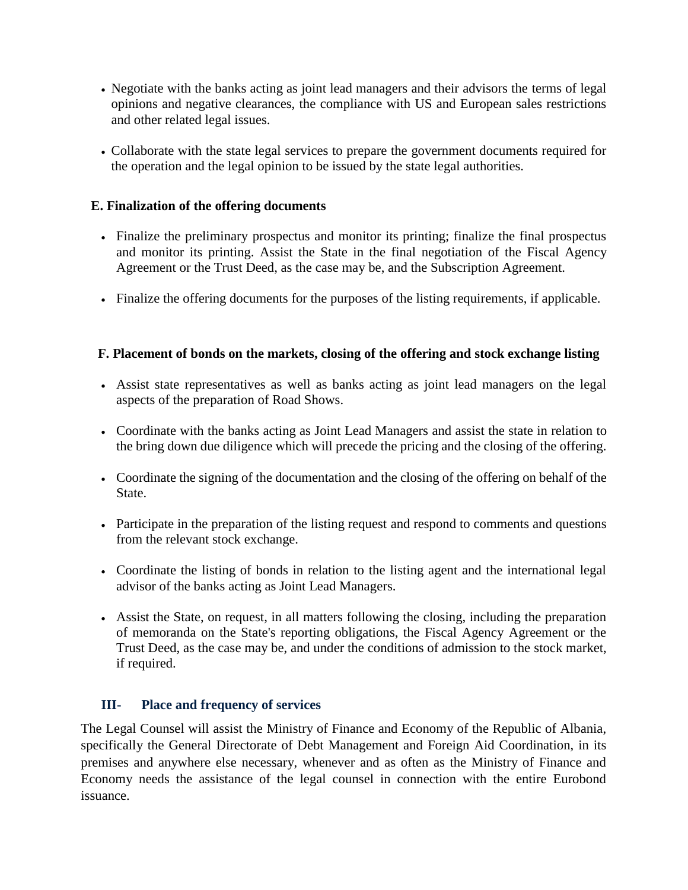- Negotiate with the banks acting as joint lead managers and their advisors the terms of legal opinions and negative clearances, the compliance with US and European sales restrictions and other related legal issues.
- Collaborate with the state legal services to prepare the government documents required for the operation and the legal opinion to be issued by the state legal authorities.

## **E. Finalization of the offering documents**

- Finalize the preliminary prospectus and monitor its printing; finalize the final prospectus and monitor its printing. Assist the State in the final negotiation of the Fiscal Agency Agreement or the Trust Deed, as the case may be, and the Subscription Agreement.
- Finalize the offering documents for the purposes of the listing requirements, if applicable.

# **F. Placement of bonds on the markets, closing of the offering and stock exchange listing**

- Assist state representatives as well as banks acting as joint lead managers on the legal aspects of the preparation of Road Shows.
- Coordinate with the banks acting as Joint Lead Managers and assist the state in relation to the bring down due diligence which will precede the pricing and the closing of the offering.
- Coordinate the signing of the documentation and the closing of the offering on behalf of the State.
- Participate in the preparation of the listing request and respond to comments and questions from the relevant stock exchange.
- Coordinate the listing of bonds in relation to the listing agent and the international legal advisor of the banks acting as Joint Lead Managers.
- Assist the State, on request, in all matters following the closing, including the preparation of memoranda on the State's reporting obligations, the Fiscal Agency Agreement or the Trust Deed, as the case may be, and under the conditions of admission to the stock market, if required.

# **III- Place and frequency of services**

The Legal Counsel will assist the Ministry of Finance and Economy of the Republic of Albania, specifically the General Directorate of Debt Management and Foreign Aid Coordination, in its premises and anywhere else necessary, whenever and as often as the Ministry of Finance and Economy needs the assistance of the legal counsel in connection with the entire Eurobond issuance.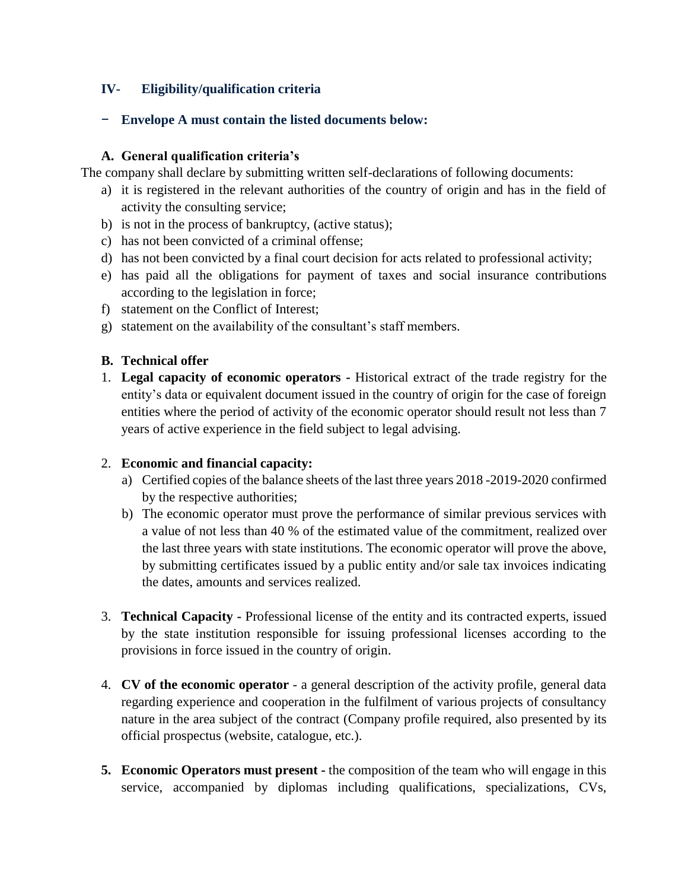# **IV- Eligibility/qualification criteria**

## − **Envelope A must contain the listed documents below:**

## **A. General qualification criteria's**

The company shall declare by submitting written self-declarations of following documents:

- a) it is registered in the relevant authorities of the country of origin and has in the field of activity the consulting service;
- b) is not in the process of bankruptcy, (active status);
- c) has not been convicted of a criminal offense;
- d) has not been convicted by a final court decision for acts related to professional activity;
- e) has paid all the obligations for payment of taxes and social insurance contributions according to the legislation in force;
- f) statement on the Conflict of Interest;
- g) statement on the availability of the consultant's staff members.

# **B. Technical offer**

1. **Legal capacity of economic operators -** Historical extract of the trade registry for the entity's data or equivalent document issued in the country of origin for the case of foreign entities where the period of activity of the economic operator should result not less than 7 years of active experience in the field subject to legal advising.

## 2. **Economic and financial capacity:**

- a) Certified copies of the balance sheets of the last three years 2018 -2019-2020 confirmed by the respective authorities;
- b) The economic operator must prove the performance of similar previous services with a value of not less than 40 % of the estimated value of the commitment, realized over the last three years with state institutions. The economic operator will prove the above, by submitting certificates issued by a public entity and/or sale tax invoices indicating the dates, amounts and services realized.
- 3. **Technical Capacity -** Professional license of the entity and its contracted experts, issued by the state institution responsible for issuing professional licenses according to the provisions in force issued in the country of origin.
- 4. **CV of the economic operator** a general description of the activity profile, general data regarding experience and cooperation in the fulfilment of various projects of consultancy nature in the area subject of the contract (Company profile required, also presented by its official prospectus (website, catalogue, etc.).
- **5. Economic Operators must present -** the composition of the team who will engage in this service, accompanied by diplomas including qualifications, specializations, CVs,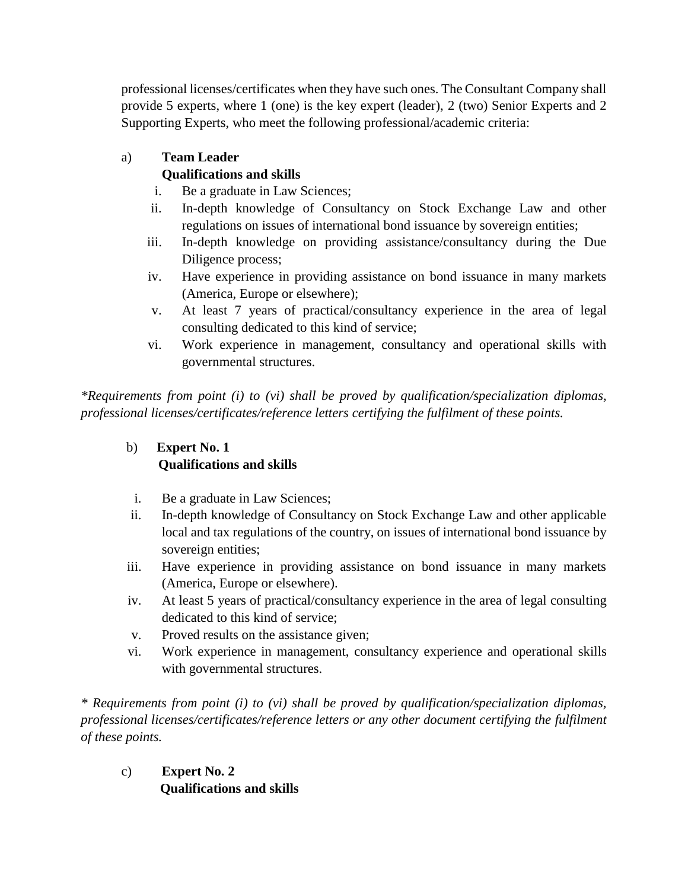professional licenses/certificates when they have such ones. The Consultant Company shall provide 5 experts, where 1 (one) is the key expert (leader), 2 (two) Senior Experts and 2 Supporting Experts, who meet the following professional/academic criteria:

# a) **Team Leader Qualifications and skills**

- i. Be a graduate in Law Sciences;
- ii. In-depth knowledge of Consultancy on Stock Exchange Law and other regulations on issues of international bond issuance by sovereign entities;
- iii. In-depth knowledge on providing assistance/consultancy during the Due Diligence process;
- iv. Have experience in providing assistance on bond issuance in many markets (America, Europe or elsewhere);
- v. At least 7 years of practical/consultancy experience in the area of legal consulting dedicated to this kind of service;
- vi. Work experience in management, consultancy and operational skills with governmental structures.

*\*Requirements from point (i) to (vi) shall be proved by qualification/specialization diplomas, professional licenses/certificates/reference letters certifying the fulfilment of these points.*

# b) **Expert No. 1 Qualifications and skills**

- i. Be a graduate in Law Sciences;
- ii. In-depth knowledge of Consultancy on Stock Exchange Law and other applicable local and tax regulations of the country, on issues of international bond issuance by sovereign entities;
- iii. Have experience in providing assistance on bond issuance in many markets (America, Europe or elsewhere).
- iv. At least 5 years of practical/consultancy experience in the area of legal consulting dedicated to this kind of service;
- v. Proved results on the assistance given;
- vi. Work experience in management, consultancy experience and operational skills with governmental structures.

*\* Requirements from point (i) to (vi) shall be proved by qualification/specialization diplomas, professional licenses/certificates/reference letters or any other document certifying the fulfilment of these points.*

c) **Expert No. 2 Qualifications and skills**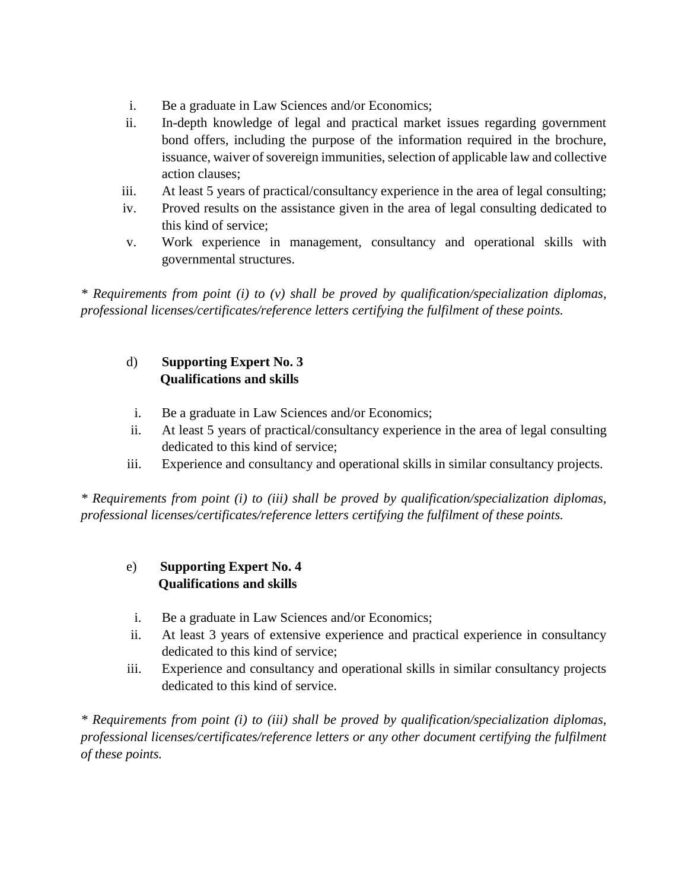- i. Be a graduate in Law Sciences and/or Economics;
- ii. In-depth knowledge of legal and practical market issues regarding government bond offers, including the purpose of the information required in the brochure, issuance, waiver of sovereign immunities, selection of applicable law and collective action clauses;
- iii. At least 5 years of practical/consultancy experience in the area of legal consulting;
- iv. Proved results on the assistance given in the area of legal consulting dedicated to this kind of service;
- v. Work experience in management, consultancy and operational skills with governmental structures.

*\* Requirements from point (i) to (v) shall be proved by qualification/specialization diplomas, professional licenses/certificates/reference letters certifying the fulfilment of these points.*

# d) **Supporting Expert No. 3 Qualifications and skills**

- i. Be a graduate in Law Sciences and/or Economics;
- ii. At least 5 years of practical/consultancy experience in the area of legal consulting dedicated to this kind of service;
- iii. Experience and consultancy and operational skills in similar consultancy projects.

*\* Requirements from point (i) to (iii) shall be proved by qualification/specialization diplomas, professional licenses/certificates/reference letters certifying the fulfilment of these points.*

# e) **Supporting Expert No. 4 Qualifications and skills**

- i. Be a graduate in Law Sciences and/or Economics;
- ii. At least 3 years of extensive experience and practical experience in consultancy dedicated to this kind of service;
- iii. Experience and consultancy and operational skills in similar consultancy projects dedicated to this kind of service.

*\* Requirements from point (i) to (iii) shall be proved by qualification/specialization diplomas, professional licenses/certificates/reference letters or any other document certifying the fulfilment of these points.*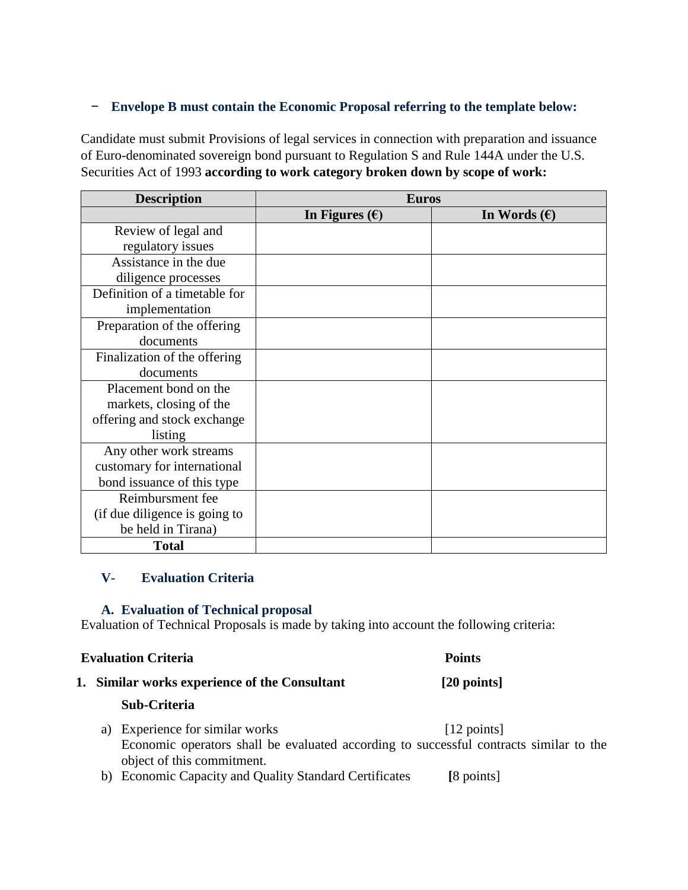#### − **Envelope B must contain the Economic Proposal referring to the template below:**

Candidate must submit Provisions of legal services in connection with preparation and issuance of Euro-denominated sovereign bond pursuant to Regulation S and Rule 144A under the U.S. Securities Act of 1993 **according to work category broken down by scope of work:**

| <b>Description</b>            | <b>Euros</b>            |                       |
|-------------------------------|-------------------------|-----------------------|
|                               | In Figures $(\epsilon)$ | In Words $(\epsilon)$ |
| Review of legal and           |                         |                       |
| regulatory issues             |                         |                       |
| Assistance in the due         |                         |                       |
| diligence processes           |                         |                       |
| Definition of a timetable for |                         |                       |
| implementation                |                         |                       |
| Preparation of the offering   |                         |                       |
| documents                     |                         |                       |
| Finalization of the offering  |                         |                       |
| documents                     |                         |                       |
| Placement bond on the         |                         |                       |
| markets, closing of the       |                         |                       |
| offering and stock exchange   |                         |                       |
| listing                       |                         |                       |
| Any other work streams        |                         |                       |
| customary for international   |                         |                       |
| bond issuance of this type    |                         |                       |
| Reimbursment fee              |                         |                       |
| (if due diligence is going to |                         |                       |
| be held in Tirana)            |                         |                       |
| <b>Total</b>                  |                         |                       |

#### **V- Evaluation Criteria**

#### **A. Evaluation of Technical proposal**

Evaluation of Technical Proposals is made by taking into account the following criteria:

#### **Evaluation Criteria** Points

#### **1. Similar works experience of the Consultant [20 points]**

#### **Sub-Criteria**

- a) Experience for similar works [12 points] Economic operators shall be evaluated according to successful contracts similar to the object of this commitment.
- b) Economic Capacity and Quality Standard Certificates **[**8 points]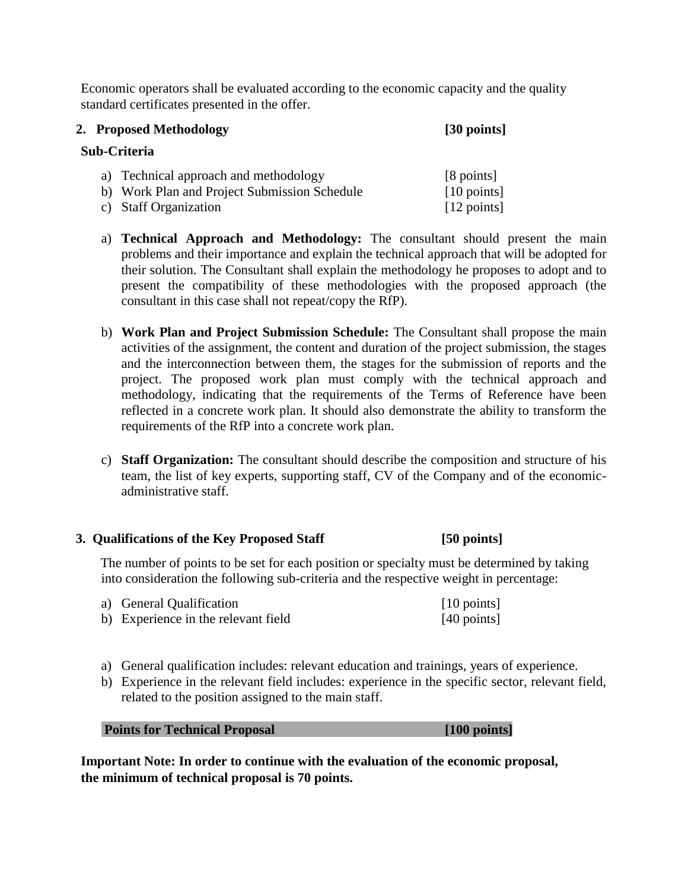Economic operators shall be evaluated according to the economic capacity and the quality standard certificates presented in the offer.

| 2. Proposed Methodology |                                              | [30 points]           |  |
|-------------------------|----------------------------------------------|-----------------------|--|
| Sub-Criteria            |                                              |                       |  |
|                         | a) Technical approach and methodology        | [8 points]            |  |
|                         | b) Work Plan and Project Submission Schedule | $[10 \text{ points}]$ |  |
|                         | c) Staff Organization                        | $[12 \text{ points}]$ |  |

- a) **Technical Approach and Methodology:** The consultant should present the main problems and their importance and explain the technical approach that will be adopted for their solution. The Consultant shall explain the methodology he proposes to adopt and to present the compatibility of these methodologies with the proposed approach (the consultant in this case shall not repeat/copy the RfP).
- b) **Work Plan and Project Submission Schedule:** The Consultant shall propose the main activities of the assignment, the content and duration of the project submission, the stages and the interconnection between them, the stages for the submission of reports and the project. The proposed work plan must comply with the technical approach and methodology, indicating that the requirements of the Terms of Reference have been reflected in a concrete work plan. It should also demonstrate the ability to transform the requirements of the RfP into a concrete work plan.
- c) **Staff Organization:** The consultant should describe the composition and structure of his team, the list of key experts, supporting staff, CV of the Company and of the economicadministrative staff.

#### **3. Qualifications of the Key Proposed Staff [50 points]**

The number of points to be set for each position or specialty must be determined by taking into consideration the following sub-criteria and the respective weight in percentage:

| a) General Qualification            | $\lceil 10 \text{ points} \rceil$ |
|-------------------------------------|-----------------------------------|
| b) Experience in the relevant field | $[40 \text{ points}]$             |

- a) General qualification includes: relevant education and trainings, years of experience.
- b) Experience in the relevant field includes: experience in the specific sector, relevant field, related to the position assigned to the main staff.

| <b>Points for Technical Proposal</b> | [100 points] |
|--------------------------------------|--------------|
|--------------------------------------|--------------|

**Important Note: In order to continue with the evaluation of the economic proposal, the minimum of technical proposal is 70 points.**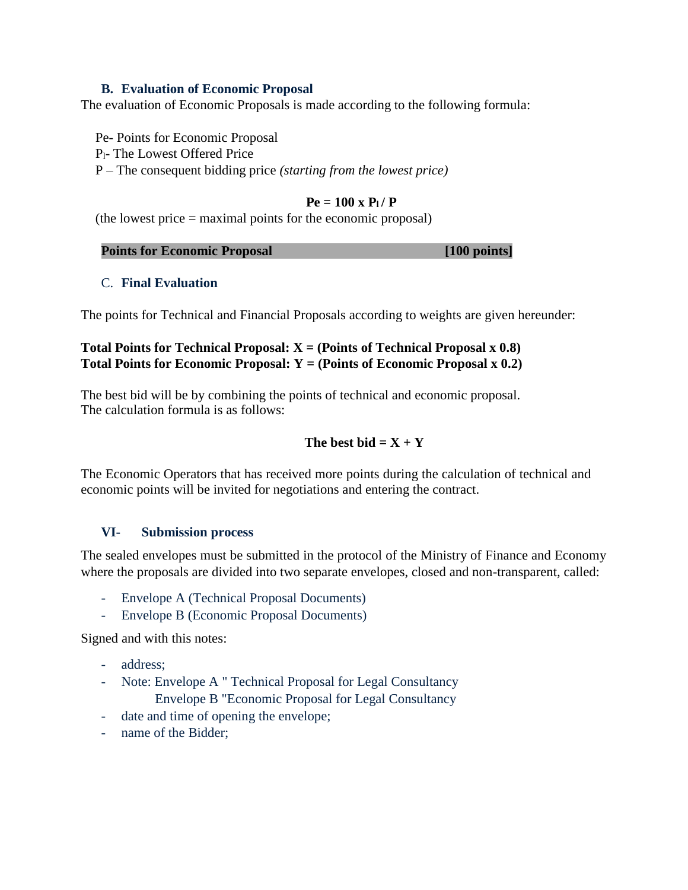#### **B. Evaluation of Economic Proposal**

The evaluation of Economic Proposals is made according to the following formula:

Pe- Points for Economic Proposal Pl- The Lowest Offered Price P – The consequent bidding price *(starting from the lowest price)* 

#### $P_e = 100 \times P_1 / P_2$

(the lowest price = maximal points for the economic proposal)

| <b>Points for Economic Proposal</b> | $[100 \text{ points}]$ |
|-------------------------------------|------------------------|
|-------------------------------------|------------------------|

#### C. **Final Evaluation**

The points for Technical and Financial Proposals according to weights are given hereunder:

#### **Total Points for Technical Proposal: X = (Points of Technical Proposal x 0.8) Total Points for Economic Proposal: Y = (Points of Economic Proposal x 0.2)**

The best bid will be by combining the points of technical and economic proposal. The calculation formula is as follows:

#### The best bid  $= X + Y$

The Economic Operators that has received more points during the calculation of technical and economic points will be invited for negotiations and entering the contract.

#### **VI- Submission process**

The sealed envelopes must be submitted in the protocol of the Ministry of Finance and Economy where the proposals are divided into two separate envelopes, closed and non-transparent, called:

- Envelope A (Technical Proposal Documents)
- Envelope B (Economic Proposal Documents)

Signed and with this notes:

- address:
- Note: Envelope A " Technical Proposal for Legal Consultancy Envelope B "Economic Proposal for Legal Consultancy
- date and time of opening the envelope;
- name of the Bidder: